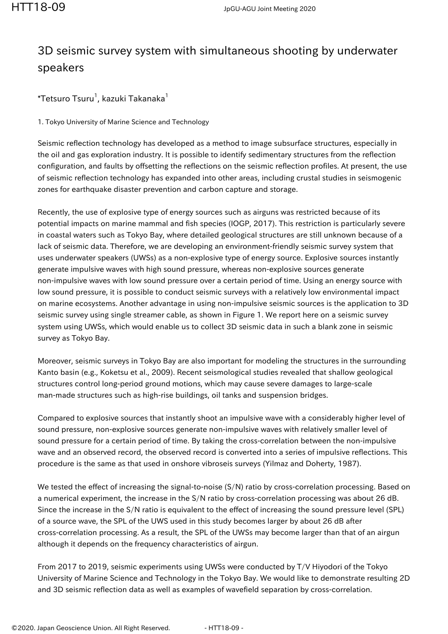## 3D seismic survey system with simultaneous shooting by underwater speakers

 $^\ast$ Tetsuro Tsuru $^1$ , kazuki Takanaka $^1$ 

1. Tokyo University of Marine Science and Technology

Seismic reflection technology has developed as a method to image subsurface structures, especially in the oil and gas exploration industry. It is possible to identify sedimentary structures from the reflection configuration, and faults by offsetting the reflections on the seismic reflection profiles. At present, the use of seismic reflection technology has expanded into other areas, including crustal studies in seismogenic zones for earthquake disaster prevention and carbon capture and storage.

Recently, the use of explosive type of energy sources such as airguns was restricted because of its potential impacts on marine mammal and fish species (IOGP, 2017). This restriction is particularly severe in coastal waters such as Tokyo Bay, where detailed geological structures are still unknown because of a lack of seismic data. Therefore, we are developing an environment-friendly seismic survey system that uses underwater speakers (UWSs) as a non-explosive type of energy source. Explosive sources instantly generate impulsive waves with high sound pressure, whereas non-explosive sources generate non-impulsive waves with low sound pressure over a certain period of time. Using an energy source with low sound pressure, it is possible to conduct seismic surveys with a relatively low environmental impact on marine ecosystems. Another advantage in using non-impulsive seismic sources is the application to 3D seismic survey using single streamer cable, as shown in Figure 1. We report here on a seismic survey system using UWSs, which would enable us to collect 3D seismic data in such a blank zone in seismic survey as Tokyo Bay.

Moreover, seismic surveys in Tokyo Bay are also important for modeling the structures in the surrounding Kanto basin (e.g., Koketsu et al., 2009). Recent seismological studies revealed that shallow geological structures control long-period ground motions, which may cause severe damages to large-scale man-made structures such as high-rise buildings, oil tanks and suspension bridges.

Compared to explosive sources that instantly shoot an impulsive wave with a considerably higher level of sound pressure, non-explosive sources generate non-impulsive waves with relatively smaller level of sound pressure for a certain period of time. By taking the cross-correlation between the non-impulsive wave and an observed record, the observed record is converted into a series of impulsive reflections. This procedure is the same as that used in onshore vibroseis surveys (Yilmaz and Doherty, 1987).

We tested the effect of increasing the signal-to-noise (S/N) ratio by cross-correlation processing. Based on a numerical experiment, the increase in the S/N ratio by cross-correlation processing was about 26 dB. Since the increase in the S/N ratio is equivalent to the effect of increasing the sound pressure level (SPL) of a source wave, the SPL of the UWS used in this study becomes larger by about 26 dB after cross-correlation processing. As a result, the SPL of the UWSs may become larger than that of an airgun although it depends on the frequency characteristics of airgun.

From 2017 to 2019, seismic experiments using UWSs were conducted by T/V Hiyodori of the Tokyo University of Marine Science and Technology in the Tokyo Bay. We would like to demonstrate resulting 2D and 3D seismic reflection data as well as examples of wavefield separation by cross-correlation.